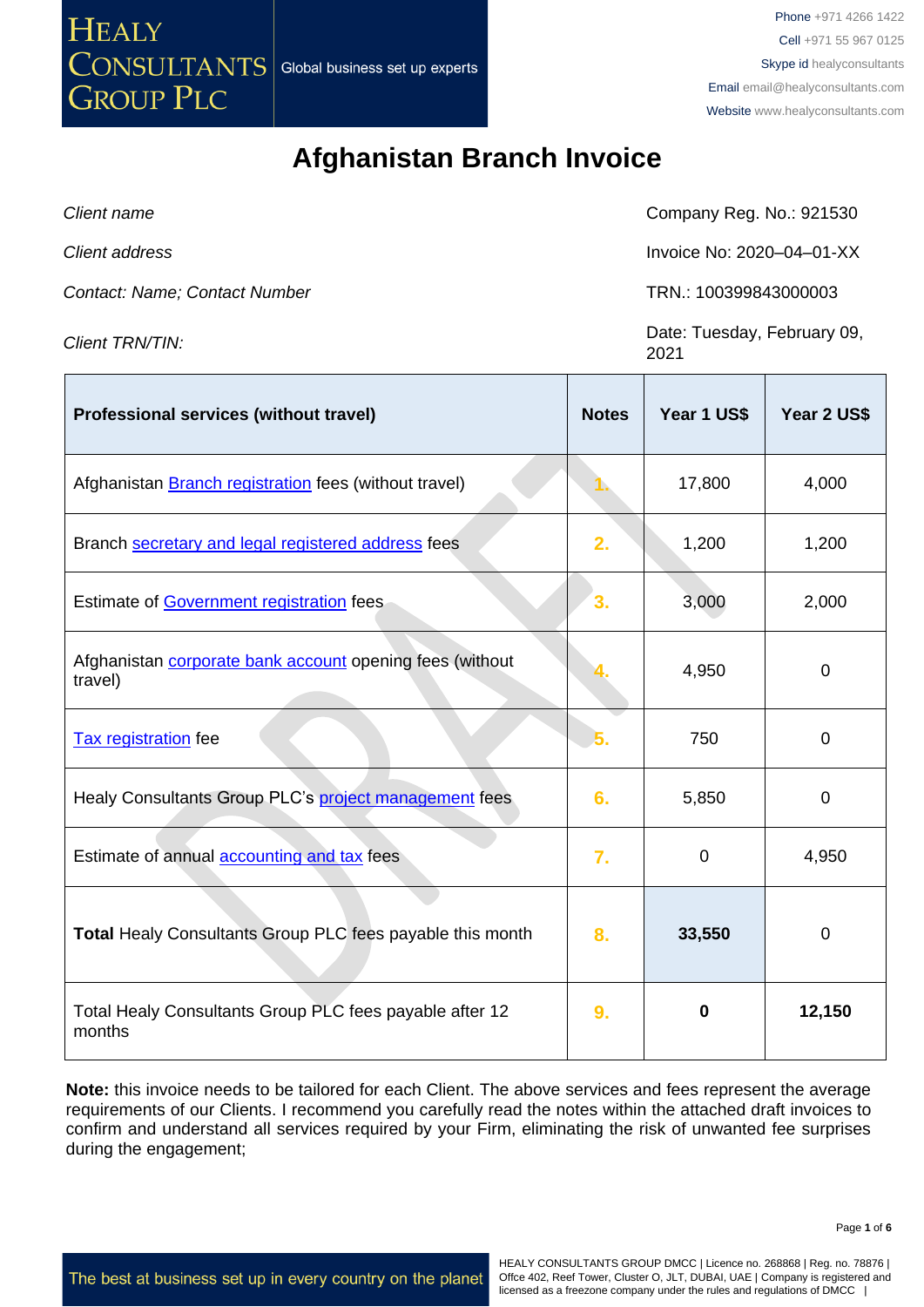CONSULTANTS **GROUP PLC** 

**HEALY** 

Phone +971 4266 1422 Cell +971 55 967 0125 Skype id healyconsultants Email [email@healyconsultants.com](mailto:EMAIL@HEALYCONSULTANTS.COM) Website [www.healyconsultants.com](http://www.healyconsultants.com/)

# **Afghanistan Branch Invoice**

| Client name                   | Company Reg. No.: 921530  |
|-------------------------------|---------------------------|
| Client address                | Invoice No: 2020-04-01-XX |
| Contact: Name; Contact Number | TRN.: 100399843000003     |
|                               | $\sim$ $\sim$             |

*Client TRN/TIN:* Date: Tuesday, February 09, 2021

| <b>Professional services (without travel)</b>                              | <b>Notes</b> | Year 1 US\$ | Year 2 US\$ |
|----------------------------------------------------------------------------|--------------|-------------|-------------|
| Afghanistan Branch registration fees (without travel)                      |              | 17,800      | 4,000       |
| Branch secretary and legal registered address fees                         | 2.           | 1,200       | 1,200       |
| Estimate of Government registration fees                                   | 3.           | 3,000       | 2,000       |
| Afghanistan <b>corporate bank account</b> opening fees (without<br>travel) |              | 4,950       | $\mathbf 0$ |
| <b>Tax registration</b> fee                                                |              | 750         | 0           |
| Healy Consultants Group PLC's project management fees                      | 6.           | 5,850       | $\mathbf 0$ |
| Estimate of annual <b>accounting and tax</b> fees                          | 7.           | $\mathbf 0$ | 4,950       |
| Total Healy Consultants Group PLC fees payable this month                  | 8.           | 33,550      | $\mathbf 0$ |
| Total Healy Consultants Group PLC fees payable after 12<br>months          | 9.           | 0           | 12,150      |

**Note:** this invoice needs to be tailored for each Client. The above services and fees represent the average requirements of our Clients. I recommend you carefully read the notes within the attached draft invoices to confirm and understand all services required by your Firm, eliminating the risk of unwanted fee surprises during the engagement;

HEALY CONSULTANTS GROUP DMCC | Licence no. 268868 | Reg. no. 78876 | Offce 402, Reef Tower, Cluster O, JLT, DUBAI, UAE | Company is registered and licensed as a freezone company under the rules and regulations of DMCC |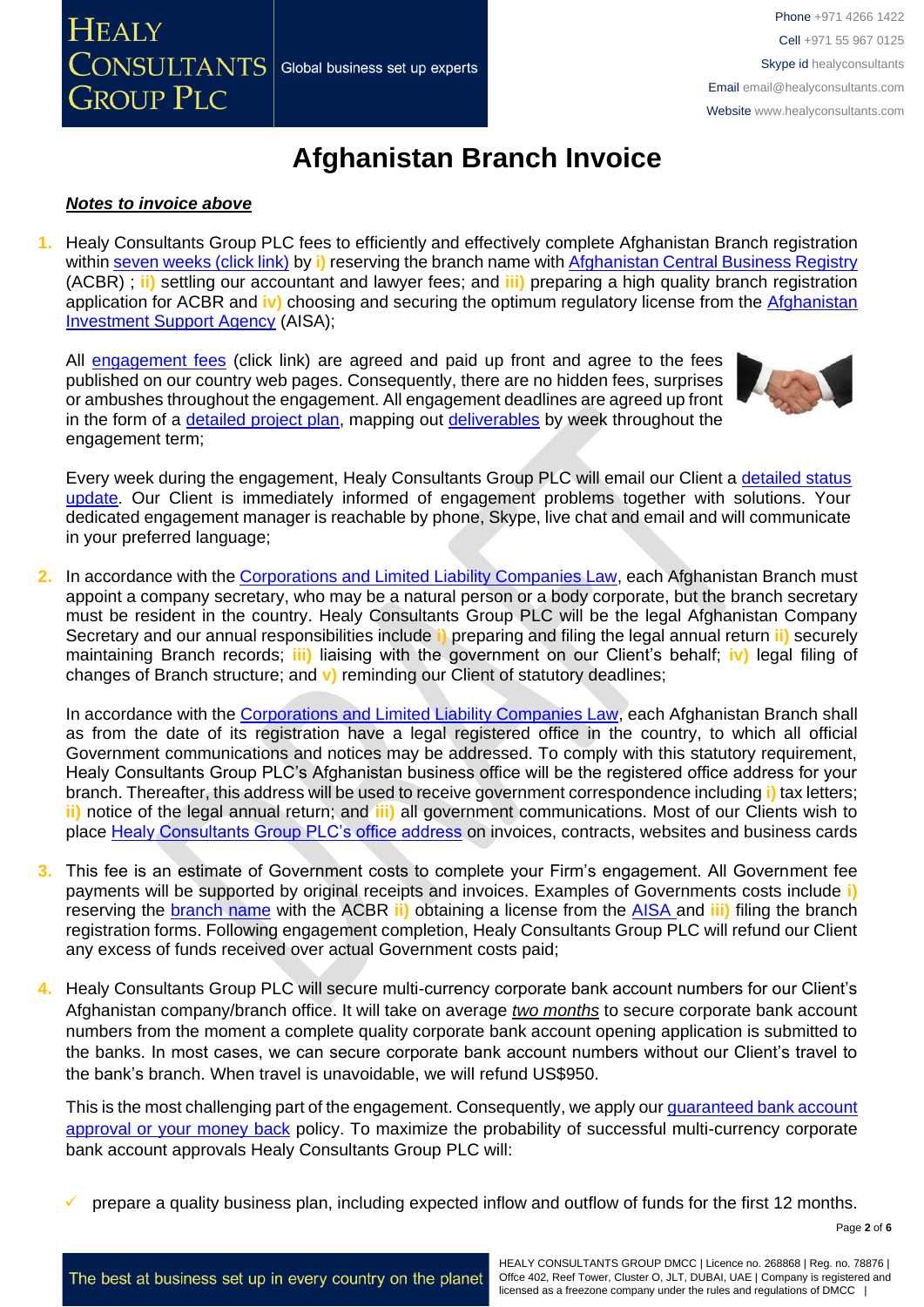# **Afghanistan Branch Invoice**

#### *Notes to invoice above*

**GROUP PLC** 

 $\sqrt{\text{CONSULTANTS}}$  Global business set up experts

**HEALY** 

**1.** Healy Consultants Group PLC fees to efficiently and effectively complete Afghanistan Branch registration within [seven weeks \(click link\)](http://www.healyconsultants.com/afghanistan-company-registration/fees-timelines/#timelines) by **i)** reserving the branch name wit[h Afghanistan Central Business Registry](https://investinafghanistan.af/about-aisa/) (ACBR) ; **ii)** settling our accountant and lawyer fees; and **iii)** preparing a high quality branch registration application for ACBR and **iv)** choosing and securing the optimum regulatory license from the [Afghanistan](http://www.aisa.org.af/en)  [Investment Support Agency](http://www.aisa.org.af/en) (AISA);

All [engagement fees](http://www.healyconsultants.com/company-registration-fees/) (click link) are agreed and paid up front and agree to the fees published on our country web pages. Consequently, there are no hidden fees, surprises or ambushes throughout the engagement. All engagement deadlines are agreed up front in the form of a [detailed project plan,](http://www.healyconsultants.com/index-important-links/example-project-plan/) mapping out [deliverables](http://www.healyconsultants.com/deliverables-to-our-clients/) by week throughout the engagement term;



Phone +971 4266 1422 Cell +971 55 967 0125 Skype id healyconsultants

Email [email@healyconsultants.com](mailto:EMAIL@HEALYCONSULTANTS.COM) Website [www.healyconsultants.com](http://www.healyconsultants.com/)

Every week during the engagement, Healy Consultants Group PLC will email our Client a [detailed status](http://www.healyconsultants.com/index-important-links/weekly-engagement-status-email/)  [update.](http://www.healyconsultants.com/index-important-links/weekly-engagement-status-email/) Our Client is immediately informed of engagement problems together with solutions. Your dedicated engagement manager is reachable by phone, Skype, live chat and email and will communicate in your preferred language;

**2.** In accordance with the [Corporations and Limited Liability Companies Law,](https://afghaneconomics.com/law/1/Corporation%20and%20Limited%20Liability%20Law.pdf) each Afghanistan Branch must appoint a company secretary, who may be a natural person or a body corporate, but the branch secretary must be resident in the country. Healy Consultants Group PLC will be the legal Afghanistan Company Secretary and our annual responsibilities include **i)** preparing and filing the legal annual return **ii)** securely maintaining Branch records; **iii)** liaising with the government on our Client's behalf; **iv)** legal filing of changes of Branch structure; and **v)** reminding our Client of statutory deadlines;

In accordance with the [Corporations and Limited Liability Companies Law,](https://afghaneconomics.com/law/1/Corporation%20and%20Limited%20Liability%20Law.pdf) each Afghanistan Branch shall as from the date of its registration have a legal registered office in the country, to which all official Government communications and notices may be addressed. To comply with this statutory requirement, Healy Consultants Group PLC's Afghanistan business office will be the registered office address for your branch. Thereafter, this address will be used to receive government correspondence including **i)** tax letters; **ii)** notice of the legal annual return; and **iii)** all government communications. Most of our Clients wish to place [Healy Consultants Group PLC's office address](http://www.healyconsultants.com/corporate-outsourcing-services/company-secretary-and-legal-registered-office/) on invoices, contracts, websites and business cards

- **3.** This fee is an estimate of Government costs to complete your Firm's engagement. All Government fee payments will be supported by original receipts and invoices. Examples of Governments costs include **i)**  reserving the [branch](http://www.acbr.gov.af/application.html) name with the ACBR **ii)** obtaining a license from the [AISA a](https://investinafghanistan.af/about-aisa/)nd **iii)** filing the branch registration forms. Following engagement completion, Healy Consultants Group PLC will refund our Client any excess of funds received over actual Government costs paid;
- **4.** Healy Consultants Group PLC will secure multi-currency corporate bank account numbers for our Client's Afghanistan company/branch office. It will take on average *two months* to secure corporate bank account numbers from the moment a complete quality corporate bank account opening application is submitted to the banks. In most cases, we can secure corporate bank account numbers without our Client's travel to the bank's branch. When travel is unavoidable, we will refund US\$950.

This is the most challenging part of the engagement. Consequently, we apply our *quaranteed bank account* [approval or your money back](https://www.healyconsultants.com/corporate-banking-services/guaranteed-corporate-bank-account-approvals/) policy. To maximize the probability of successful multi-currency corporate bank account approvals Healy Consultants Group PLC will:

prepare a quality business plan, including expected inflow and outflow of funds for the first 12 months.

Page **2** of **6**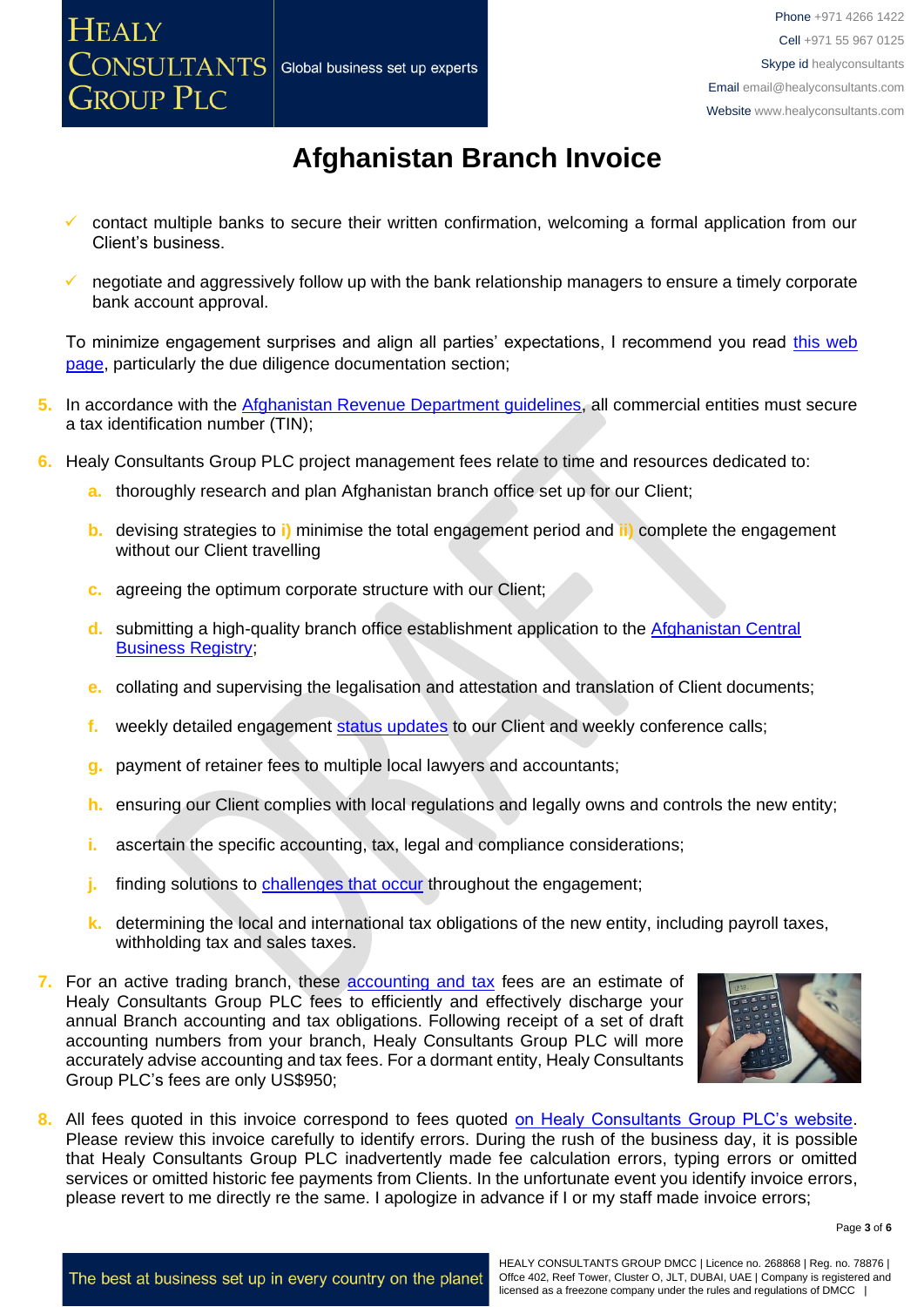**HEALY** 

**GROUP PLC** 



# **Afghanistan Branch Invoice**

- contact multiple banks to secure their written confirmation, welcoming a formal application from our Client's business.
- negotiate and aggressively follow up with the bank relationship managers to ensure a timely corporate bank account approval.

To minimize engagement surprises and align all parties' expectations, I recommend you read [this web](https://www.healyconsultants.com/multi-currency-corporate-bank-account/)  [page,](https://www.healyconsultants.com/multi-currency-corporate-bank-account/) particularly the due diligence documentation section;

- **5.** In accordance with the [Afghanistan Revenue Department guidelines,](http://www.trade.gov/static/AF_Tax_Guide18.pdf) all commercial entities must secure a tax identification number (TIN);
- **6.** Healy Consultants Group PLC project management fees relate to time and resources dedicated to:
	- **a.** thoroughly research and plan Afghanistan branch office set up for our Client;
	- **b.** devising strategies to **i)** minimise the total engagement period and **ii)** complete the engagement without our Client travelling
	- **c.** agreeing the optimum corporate structure with our Client;
	- **d.** submitting a high-quality branch office establishment application to the [Afghanistan Central](https://investinafghanistan.af/about-aisa/) [Business Registry;](https://investinafghanistan.af/about-aisa/)
	- **e.** collating and supervising the legalisation and attestation and translation of Client documents;
	- **f.** weekly detailed engagement [status updates](http://www.healyconsultants.com/index-important-links/weekly-engagement-status-email/) to our Client and weekly conference calls;
	- **g.** payment of retainer fees to multiple local lawyers and accountants;
	- **h.** ensuring our Client complies with local regulations and legally owns and controls the new entity;
	- **i.** ascertain the specific accounting, tax, legal and compliance considerations;
	- **j.** finding solutions to [challenges that occur](http://www.healyconsultants.com/engagement-project-management/) throughout the engagement;
	- **k.** determining the local and international tax obligations of the new entity, including payroll taxes, withholding tax and sales taxes.
- **7.** For an active trading branch, these **accounting and tax** fees are an estimate of Healy Consultants Group PLC fees to efficiently and effectively discharge your annual Branch accounting and tax obligations. Following receipt of a set of draft accounting numbers from your branch, Healy Consultants Group PLC will more accurately advise accounting and tax fees. For a dormant entity, Healy Consultants Group PLC's fees are only US\$950;



**8.** All fees quoted in this invoice correspond to fees quoted [on Healy Consultants Group PLC's website.](http://www.healyconsultants.com/company-registration-fees/) Please review this invoice carefully to identify errors. During the rush of the business day, it is possible that Healy Consultants Group PLC inadvertently made fee calculation errors, typing errors or omitted services or omitted historic fee payments from Clients. In the unfortunate event you identify invoice errors, please revert to me directly re the same. I apologize in advance if I or my staff made invoice errors;

Page **3** of **6**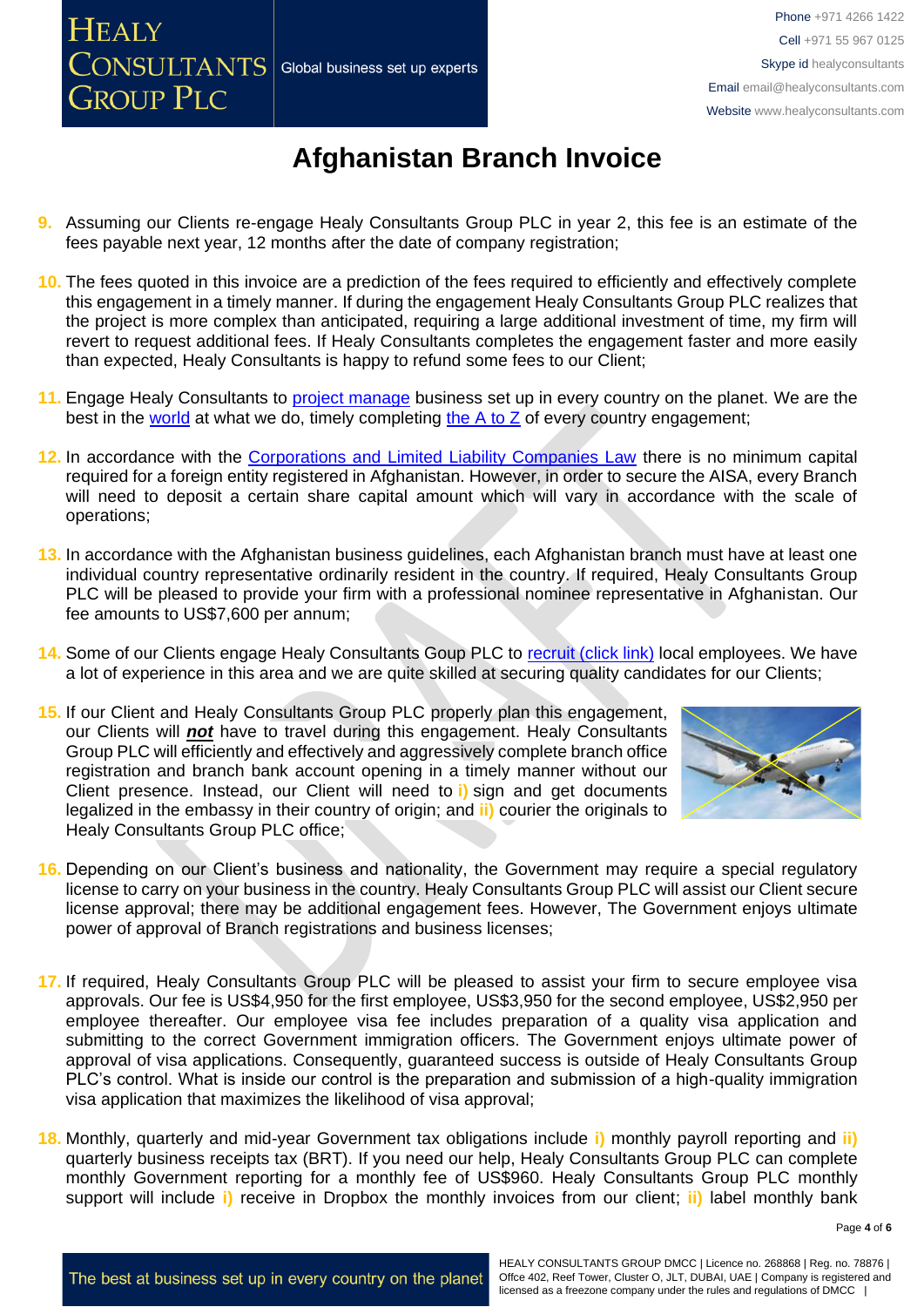# **Afghanistan Branch Invoice**

**9.** Assuming our Clients re-engage Healy Consultants Group PLC in year 2, this fee is an estimate of the fees payable next year, 12 months after the date of company registration;

**HEALY** 

**GROUP PLC** 

**CONSULTANTS** Global business set up experts

- **10.** The fees quoted in this invoice are a prediction of the fees required to efficiently and effectively complete this engagement in a timely manner. If during the engagement Healy Consultants Group PLC realizes that the project is more complex than anticipated, requiring a large additional investment of time, my firm will revert to request additional fees. If Healy Consultants completes the engagement faster and more easily than expected, Healy Consultants is happy to refund some fees to our Client;
- **11.** Engage Healy Consultants to [project manage](http://www.healyconsultants.com/project-manage-engagements/) business set up in every country on the planet. We are the best in the [world](http://www.healyconsultants.com/best-in-the-world/) at what we do, timely completing the A to  $Z$  of every country engagement;
- **12.** In accordance with the [Corporations and Limited Liability Companies Law](https://afghaneconomics.com/law/1/Corporation%20and%20Limited%20Liability%20Law.pdf) there is no minimum capital required for a foreign entity registered in Afghanistan. However, in order to secure the AISA, every Branch will need to deposit a certain share capital amount which will vary in accordance with the scale of operations;
- **13.** In accordance with the Afghanistan business guidelines, each Afghanistan branch must have at least one individual country representative ordinarily resident in the country. If required, Healy Consultants Group PLC will be pleased to provide your firm with a professional nominee representative in Afghanistan. Our fee amounts to US\$7,600 per annum;
- 14. Some of our Clients engage Healy Consultants Goup PLC to [recruit \(click link\)](http://www.healyconsultants.com/corporate-outsourcing-services/how-we-help-our-clients-recruit-quality-employees/) local employees. We have a lot of experience in this area and we are quite skilled at securing quality candidates for our Clients;
- **15.** If our Client and Healy Consultants Group PLC properly plan this engagement, our Clients will *not* have to travel during this engagement. Healy Consultants Group PLC will efficiently and effectively and aggressively complete branch office registration and branch bank account opening in a timely manner without our Client presence. Instead, our Client will need to **i)** sign and get documents legalized in the embassy in their country of origin; and **ii)** courier the originals to Healy Consultants Group PLC office;



- **16.** Depending on our Client's business and nationality, the Government may require a special regulatory license to carry on your business in the country. Healy Consultants Group PLC will assist our Client secure license approval; there may be additional engagement fees. However, The Government enjoys ultimate power of approval of Branch registrations and business licenses;
- **17.** If required, Healy Consultants Group PLC will be pleased to assist your firm to secure employee visa approvals. Our fee is US\$4,950 for the first employee, US\$3,950 for the second employee, US\$2,950 per employee thereafter. Our employee visa fee includes preparation of a quality visa application and submitting to the correct Government immigration officers. The Government enjoys ultimate power of approval of visa applications. Consequently, guaranteed success is outside of Healy Consultants Group PLC's control. What is inside our control is the preparation and submission of a high-quality immigration visa application that maximizes the likelihood of visa approval;
- **18.** Monthly, quarterly and mid-year Government tax obligations include **i)** monthly payroll reporting and **ii)**  quarterly business receipts tax (BRT). If you need our help, Healy Consultants Group PLC can complete monthly Government reporting for a monthly fee of US\$960. Healy Consultants Group PLC monthly support will include **i)** receive in Dropbox the monthly invoices from our client; **ii)** label monthly bank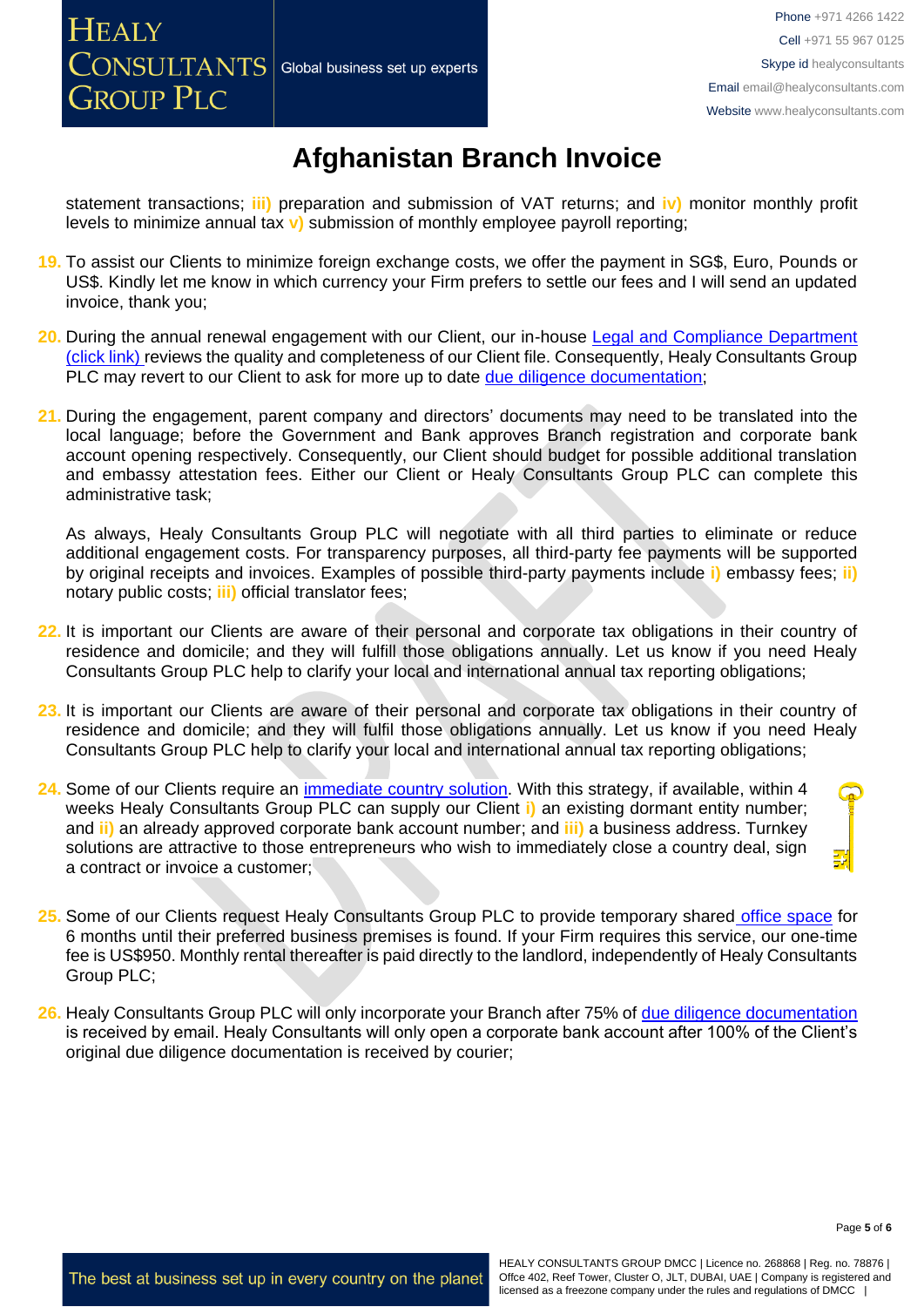# **Afghanistan Branch Invoice**

statement transactions; **iii)** preparation and submission of VAT returns; and **iv)** monitor monthly profit levels to minimize annual tax **v)** submission of monthly employee payroll reporting;

- **19.** To assist our Clients to minimize foreign exchange costs, we offer the payment in SG\$, Euro, Pounds or US\$. Kindly let me know in which currency your Firm prefers to settle our fees and I will send an updated invoice, thank you;
- **20.** During the annual renewal engagement with our Client, our in-house Legal and Compliance Department [\(click link\)](http://www.healyconsultants.com/about-us/key-personnel/cai-xin-profile/) reviews the quality and completeness of our Client file. Consequently, Healy Consultants Group PLC may revert to our Client to ask for more up to date [due diligence documentation;](http://www.healyconsultants.com/due-diligence/)
- **21.** During the engagement, parent company and directors' documents may need to be translated into the local language; before the Government and Bank approves Branch registration and corporate bank account opening respectively. Consequently, our Client should budget for possible additional translation and embassy attestation fees. Either our Client or Healy Consultants Group PLC can complete this administrative task;

As always, Healy Consultants Group PLC will negotiate with all third parties to eliminate or reduce additional engagement costs. For transparency purposes, all third-party fee payments will be supported by original receipts and invoices. Examples of possible third-party payments include **i)** embassy fees; **ii)** notary public costs; **iii)** official translator fees;

- **22.** It is important our Clients are aware of their personal and corporate tax obligations in their country of residence and domicile; and they will fulfill those obligations annually. Let us know if you need Healy Consultants Group PLC help to clarify your local and international annual tax reporting obligations;
- **23.** It is important our Clients are aware of their personal and corporate tax obligations in their country of residence and domicile; and they will fulfil those obligations annually. Let us know if you need Healy Consultants Group PLC help to clarify your local and international annual tax reporting obligations;
- **24.** Some of our Clients require an [immediate country](http://www.healyconsultants.com/turnkey-solutions/) solution. With this strategy, if available, within 4 weeks Healy Consultants Group PLC can supply our Client **i)** an existing dormant entity number; and **ii)** an already approved corporate bank account number; and **iii)** a business address. Turnkey solutions are attractive to those entrepreneurs who wish to immediately close a country deal, sign a contract or invoice a customer;
- 25. Some of our Clients request Healy Consultants Group PLC to provide temporary shared [office space](http://www.healyconsultants.com/virtual-office/) for 6 months until their preferred business premises is found. If your Firm requires this service, our one-time fee is US\$950. Monthly rental thereafter is paid directly to the landlord, independently of Healy Consultants Group PLC;
- **26.** Healy Consultants Group PLC will only incorporate your Branch after 75% of [due diligence documentation](http://www.healyconsultants.com/due-diligence/) is received by email. Healy Consultants will only open a corporate bank account after 100% of the Client's original due diligence documentation is received by courier;

Page **5** of **6**

The best at business set up in every country on the planet

HEALY CONSULTANTS GROUP DMCC | Licence no. 268868 | Reg. no. 78876 | Offce 402, Reef Tower, Cluster O, JLT, DUBAI, UAE | Company is registered and licensed as a freezone company under the rules and regulations of DMCC |